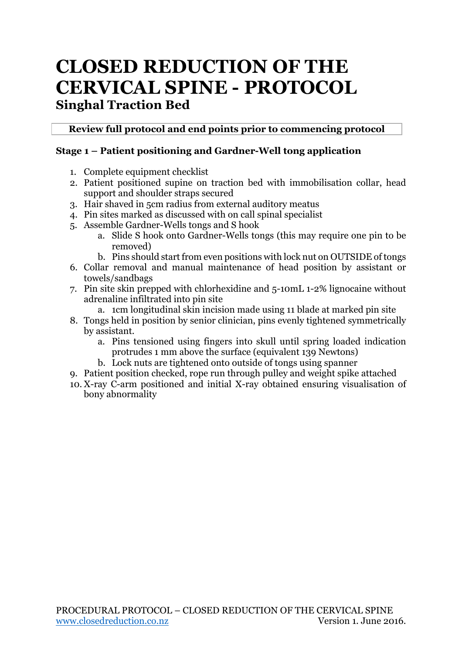# **CLOSED REDUCTION OF THE CERVICAL SPINE - PROTOCOL Singhal Traction Bed**

**Review full protocol and end points prior to commencing protocol**

### **Stage 1 – Patient positioning and Gardner-Well tong application**

- 1. Complete equipment checklist
- 2. Patient positioned supine on traction bed with immobilisation collar, head support and shoulder straps secured
- 3. Hair shaved in 5cm radius from external auditory meatus
- 4. Pin sites marked as discussed with on call spinal specialist
- 5. Assemble Gardner-Wells tongs and S hook
	- a. Slide S hook onto Gardner-Wells tongs (this may require one pin to be removed)
	- b. Pins should start from even positions with lock nut on OUTSIDE of tongs
- 6. Collar removal and manual maintenance of head position by assistant or towels/sandbags
- 7. Pin site skin prepped with chlorhexidine and 5-10mL 1-2% lignocaine without adrenaline infiltrated into pin site
	- a. 1cm longitudinal skin incision made using 11 blade at marked pin site
- 8. Tongs held in position by senior clinician, pins evenly tightened symmetrically by assistant.
	- a. Pins tensioned using fingers into skull until spring loaded indication protrudes 1 mm above the surface (equivalent 139 Newtons)
	- b. Lock nuts are tightened onto outside of tongs using spanner
- 9. Patient position checked, rope run through pulley and weight spike attached
- 10. X-ray C-arm positioned and initial X-ray obtained ensuring visualisation of bony abnormality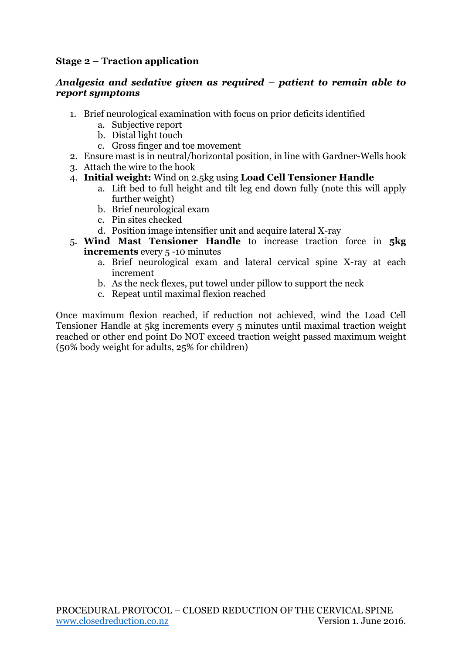### **Stage 2 – Traction application**

#### *Analgesia and sedative given as required – patient to remain able to report symptoms*

- 1. Brief neurological examination with focus on prior deficits identified
	- a. Subjective report
	- b. Distal light touch
	- c. Gross finger and toe movement
- 2. Ensure mast is in neutral/horizontal position, in line with Gardner-Wells hook
- 3. Attach the wire to the hook
- 4. **Initial weight:** Wind on 2.5kg using **Load Cell Tensioner Handle**
	- a. Lift bed to full height and tilt leg end down fully (note this will apply further weight)
	- b. Brief neurological exam
	- c. Pin sites checked
	- d. Position image intensifier unit and acquire lateral X-ray
- 5. **Wind Mast Tensioner Handle** to increase traction force in **5kg increments** every 5 -10 minutes
	- a. Brief neurological exam and lateral cervical spine X-ray at each increment
	- b. As the neck flexes, put towel under pillow to support the neck
	- c. Repeat until maximal flexion reached

Once maximum flexion reached, if reduction not achieved, wind the Load Cell Tensioner Handle at 5kg increments every 5 minutes until maximal traction weight reached or other end point Do NOT exceed traction weight passed maximum weight (50% body weight for adults, 25% for children)